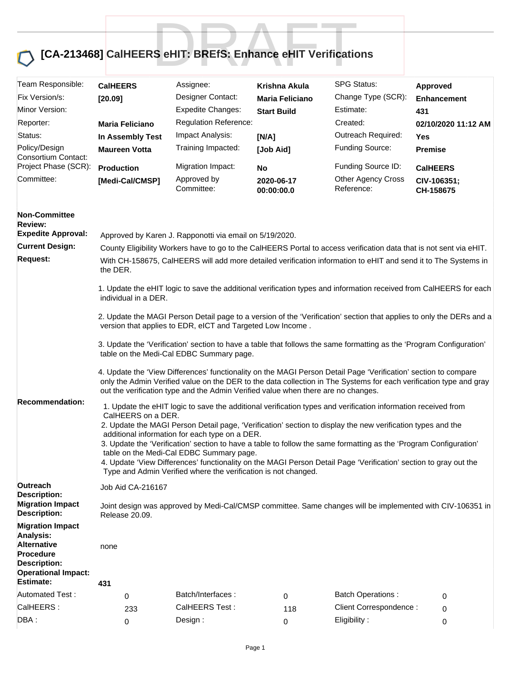## **[CA-213468] CalHEERS eHIT: BREfS: Enhance eHIT Verifications** S eHIT: BREfS: Enhance eHIT Verificatio

| Team Responsible:<br>Assignee:<br><b>CalHEERS</b><br>Krishna Akula<br><b>Approved</b><br>Fix Version/s:<br>Designer Contact:<br>Change Type (SCR):<br>[20.09]<br>Maria Feliciano<br><b>Enhancement</b><br>Minor Version:<br><b>Expedite Changes:</b><br>Estimate:<br><b>Start Build</b><br>431 |                                                                                                                                                                                                                                                                                          |  |  |  |  |  |  |
|------------------------------------------------------------------------------------------------------------------------------------------------------------------------------------------------------------------------------------------------------------------------------------------------|------------------------------------------------------------------------------------------------------------------------------------------------------------------------------------------------------------------------------------------------------------------------------------------|--|--|--|--|--|--|
|                                                                                                                                                                                                                                                                                                |                                                                                                                                                                                                                                                                                          |  |  |  |  |  |  |
|                                                                                                                                                                                                                                                                                                |                                                                                                                                                                                                                                                                                          |  |  |  |  |  |  |
| Regulation Reference:<br>Created:<br>Reporter:<br><b>Maria Feliciano</b><br>02/10/2020 11:12 AM                                                                                                                                                                                                |                                                                                                                                                                                                                                                                                          |  |  |  |  |  |  |
| Outreach Required:<br>Impact Analysis:<br>Status:<br>In Assembly Test<br>[N/A]<br>Yes                                                                                                                                                                                                          |                                                                                                                                                                                                                                                                                          |  |  |  |  |  |  |
| Funding Source:<br>Policy/Design<br>Training Impacted:<br><b>Maureen Votta</b><br>[Job Aid]<br><b>Premise</b><br>Consortium Contact:                                                                                                                                                           |                                                                                                                                                                                                                                                                                          |  |  |  |  |  |  |
| Funding Source ID:<br>Project Phase (SCR):<br><b>Migration Impact:</b><br><b>Production</b><br><b>CalHEERS</b><br>No                                                                                                                                                                           |                                                                                                                                                                                                                                                                                          |  |  |  |  |  |  |
| Committee:<br><b>Other Agency Cross</b><br>Approved by<br>[Medi-Cal/CMSP]<br>2020-06-17<br>CIV-106351;<br>Committee:<br>Reference:<br>00:00:00.0<br>CH-158675                                                                                                                                  |                                                                                                                                                                                                                                                                                          |  |  |  |  |  |  |
| <b>Non-Committee</b><br><b>Review:</b>                                                                                                                                                                                                                                                         |                                                                                                                                                                                                                                                                                          |  |  |  |  |  |  |
| <b>Expedite Approval:</b><br>Approved by Karen J. Rapponotti via email on 5/19/2020.                                                                                                                                                                                                           |                                                                                                                                                                                                                                                                                          |  |  |  |  |  |  |
| <b>Current Design:</b>                                                                                                                                                                                                                                                                         | County Eligibility Workers have to go to the CalHEERS Portal to access verification data that is not sent via eHIT.                                                                                                                                                                      |  |  |  |  |  |  |
| <b>Request:</b><br>the DER.                                                                                                                                                                                                                                                                    | With CH-158675, CalHEERS will add more detailed verification information to eHIT and send it to The Systems in                                                                                                                                                                           |  |  |  |  |  |  |
| individual in a DER.                                                                                                                                                                                                                                                                           | 1. Update the eHIT logic to save the additional verification types and information received from CalHEERS for each                                                                                                                                                                       |  |  |  |  |  |  |
| version that applies to EDR, eICT and Targeted Low Income.                                                                                                                                                                                                                                     | 2. Update the MAGI Person Detail page to a version of the 'Verification' section that applies to only the DERs and a<br>3. Update the 'Verification' section to have a table that follows the same formatting as the 'Program Configuration'<br>table on the Medi-Cal EDBC Summary page. |  |  |  |  |  |  |
|                                                                                                                                                                                                                                                                                                |                                                                                                                                                                                                                                                                                          |  |  |  |  |  |  |
| out the verification type and the Admin Verified value when there are no changes.                                                                                                                                                                                                              | 4. Update the 'View Differences' functionality on the MAGI Person Detail Page 'Verification' section to compare<br>only the Admin Verified value on the DER to the data collection in The Systems for each verification type and gray                                                    |  |  |  |  |  |  |
| <b>Recommendation:</b>                                                                                                                                                                                                                                                                         | 1. Update the eHIT logic to save the additional verification types and verification information received from                                                                                                                                                                            |  |  |  |  |  |  |
| 2. Update the MAGI Person Detail page, 'Verification' section to display the new verification types and the                                                                                                                                                                                    | CalHEERS on a DER.<br>additional information for each type on a DER.<br>3. Update the 'Verification' section to have a table to follow the same formatting as the 'Program Configuration'<br>table on the Medi-Cal EDBC Summary page.                                                    |  |  |  |  |  |  |
|                                                                                                                                                                                                                                                                                                |                                                                                                                                                                                                                                                                                          |  |  |  |  |  |  |
|                                                                                                                                                                                                                                                                                                |                                                                                                                                                                                                                                                                                          |  |  |  |  |  |  |
| 4. Update 'View Differences' functionality on the MAGI Person Detail Page 'Verification' section to gray out the<br>Type and Admin Verified where the verification is not changed.                                                                                                             |                                                                                                                                                                                                                                                                                          |  |  |  |  |  |  |
| <b>Outreach</b><br>Job Aid CA-216167<br><b>Description:</b>                                                                                                                                                                                                                                    |                                                                                                                                                                                                                                                                                          |  |  |  |  |  |  |
| <b>Migration Impact</b><br><b>Description:</b><br>Release 20.09.                                                                                                                                                                                                                               | Joint design was approved by Medi-Cal/CMSP committee. Same changes will be implemented with CIV-106351 in                                                                                                                                                                                |  |  |  |  |  |  |
| <b>Migration Impact</b>                                                                                                                                                                                                                                                                        |                                                                                                                                                                                                                                                                                          |  |  |  |  |  |  |
| Analysis:<br><b>Alternative</b><br>none<br><b>Procedure</b>                                                                                                                                                                                                                                    |                                                                                                                                                                                                                                                                                          |  |  |  |  |  |  |
| <b>Description:</b><br><b>Operational Impact:</b><br><b>Estimate:</b>                                                                                                                                                                                                                          |                                                                                                                                                                                                                                                                                          |  |  |  |  |  |  |
| 431<br><b>Automated Test:</b><br>Batch/Interfaces:<br><b>Batch Operations:</b>                                                                                                                                                                                                                 |                                                                                                                                                                                                                                                                                          |  |  |  |  |  |  |
| 0<br>0<br>0<br>CalHEERS:<br>CalHEERS Test:<br>Client Correspondence :                                                                                                                                                                                                                          |                                                                                                                                                                                                                                                                                          |  |  |  |  |  |  |
| 233<br>118<br>0<br>DBA:<br>Eligibility:<br>Design:<br>$\pmb{0}$<br>0<br>$\Omega$                                                                                                                                                                                                               |                                                                                                                                                                                                                                                                                          |  |  |  |  |  |  |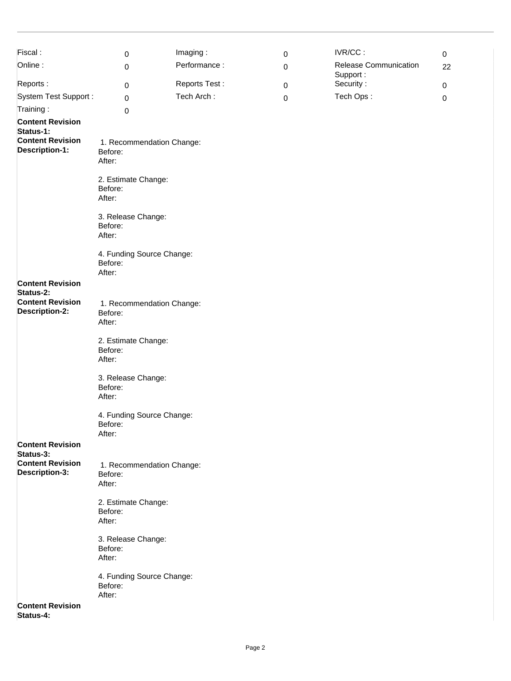| Fiscal:                                          | 0                                              | Imaging:      | $\mathbf 0$ | IVR/CC:                      | $\mathbf 0$ |  |  |
|--------------------------------------------------|------------------------------------------------|---------------|-------------|------------------------------|-------------|--|--|
| Online:                                          | 0                                              | Performance:  | 0           | <b>Release Communication</b> | 22          |  |  |
|                                                  |                                                |               |             | Support:                     |             |  |  |
| Reports:                                         | 0                                              | Reports Test: | $\mathbf 0$ | Security:                    | $\mathbf 0$ |  |  |
| <b>System Test Support:</b>                      | 0                                              | Tech Arch:    | 0           | Tech Ops:                    | 0           |  |  |
| Training:                                        | 0                                              |               |             |                              |             |  |  |
| <b>Content Revision</b><br>Status-1:             |                                                |               |             |                              |             |  |  |
| <b>Content Revision</b><br><b>Description-1:</b> | 1. Recommendation Change:<br>Before:<br>After: |               |             |                              |             |  |  |
|                                                  | 2. Estimate Change:<br>Before:<br>After:       |               |             |                              |             |  |  |
|                                                  | 3. Release Change:<br>Before:<br>After:        |               |             |                              |             |  |  |
|                                                  | 4. Funding Source Change:<br>Before:<br>After: |               |             |                              |             |  |  |
| <b>Content Revision</b><br>Status-2:             |                                                |               |             |                              |             |  |  |
| <b>Content Revision</b><br><b>Description-2:</b> | 1. Recommendation Change:<br>Before:<br>After: |               |             |                              |             |  |  |
|                                                  | 2. Estimate Change:<br>Before:<br>After:       |               |             |                              |             |  |  |
|                                                  | 3. Release Change:<br>Before:<br>After:        |               |             |                              |             |  |  |
|                                                  | 4. Funding Source Change:<br>Before:<br>After: |               |             |                              |             |  |  |
| <b>Content Revision</b><br>Status-3:             |                                                |               |             |                              |             |  |  |
| <b>Content Revision</b><br><b>Description-3:</b> | 1. Recommendation Change:<br>Before:<br>After: |               |             |                              |             |  |  |
|                                                  | 2. Estimate Change:<br>Before:<br>After:       |               |             |                              |             |  |  |
|                                                  | 3. Release Change:<br>Before:<br>After:        |               |             |                              |             |  |  |
|                                                  | 4. Funding Source Change:<br>Before:<br>After: |               |             |                              |             |  |  |
| <b>Content Revision</b><br>Status-4:             |                                                |               |             |                              |             |  |  |